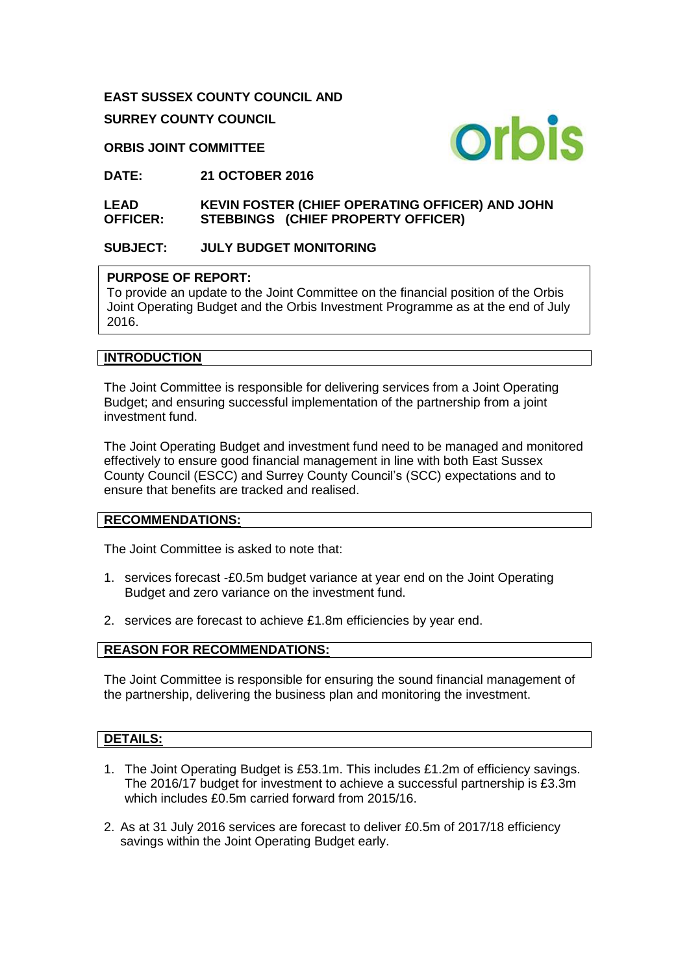**EAST SUSSEX COUNTY COUNCIL AND**

**SURREY COUNTY COUNCIL**

**ORBIS JOINT COMMITTEE**



**DATE: 21 OCTOBER 2016**

#### **LEAD OFFICER: KEVIN FOSTER (CHIEF OPERATING OFFICER) AND JOHN STEBBINGS (CHIEF PROPERTY OFFICER)**

## **SUBJECT: JULY BUDGET MONITORING**

## **PURPOSE OF REPORT:**

To provide an update to the Joint Committee on the financial position of the Orbis Joint Operating Budget and the Orbis Investment Programme as at the end of July 2016.

## **INTRODUCTION**

The Joint Committee is responsible for delivering services from a Joint Operating Budget; and ensuring successful implementation of the partnership from a joint investment fund.

The Joint Operating Budget and investment fund need to be managed and monitored effectively to ensure good financial management in line with both East Sussex County Council (ESCC) and Surrey County Council's (SCC) expectations and to ensure that benefits are tracked and realised.

#### **RECOMMENDATIONS:**

The Joint Committee is asked to note that:

- 1. services forecast -£0.5m budget variance at year end on the Joint Operating Budget and zero variance on the investment fund.
- 2. services are forecast to achieve £1.8m efficiencies by year end.

## **REASON FOR RECOMMENDATIONS:**

The Joint Committee is responsible for ensuring the sound financial management of the partnership, delivering the business plan and monitoring the investment.

## **DETAILS:**

- 1. The Joint Operating Budget is £53.1m. This includes £1.2m of efficiency savings. The 2016/17 budget for investment to achieve a successful partnership is £3.3m which includes £0.5m carried forward from 2015/16.
- 2. As at 31 July 2016 services are forecast to deliver £0.5m of 2017/18 efficiency savings within the Joint Operating Budget early.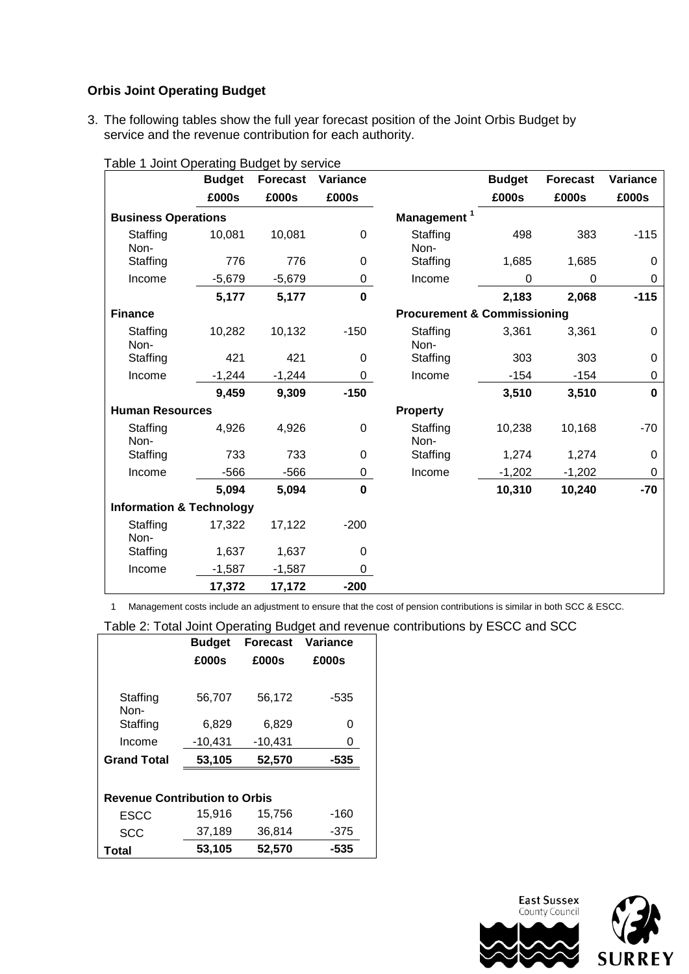## **Orbis Joint Operating Budget**

3. The following tables show the full year forecast position of the Joint Orbis Budget by service and the revenue contribution for each authority.

| rabic Toolin Operating Budget by Scrvice | <b>Budget</b> | <b>Forecast</b> | Variance                |                                        | <b>Budget</b> | <b>Forecast</b> | Variance |
|------------------------------------------|---------------|-----------------|-------------------------|----------------------------------------|---------------|-----------------|----------|
|                                          | £000s         | £000s           | £000s                   |                                        | £000s         | £000s           | £000s    |
| <b>Business Operations</b>               |               |                 | Management <sup>1</sup> |                                        |               |                 |          |
| Staffing<br>Non-                         | 10,081        | 10,081          | $\mathbf 0$             | Staffing<br>Non-                       | 498           | 383             | $-115$   |
| Staffing                                 | 776           | 776             | $\mathbf 0$             | Staffing                               | 1,685         | 1,685           | $\Omega$ |
| Income                                   | $-5,679$      | $-5,679$        | 0                       | Income                                 | $\Omega$      | $\Omega$        | 0        |
|                                          | 5,177         | 5,177           | $\mathbf 0$             |                                        | 2,183         | 2,068           | $-115$   |
| <b>Finance</b>                           |               |                 |                         | <b>Procurement &amp; Commissioning</b> |               |                 |          |
| Staffing<br>Non-                         | 10,282        | 10,132          | $-150$                  | Staffing<br>Non-                       | 3,361         | 3,361           | 0        |
| Staffing                                 | 421           | 421             | 0                       | Staffing                               | 303           | 303             | $\Omega$ |
| Income                                   | $-1,244$      | $-1,244$        | 0                       | Income                                 | $-154$        | $-154$          | 0        |
|                                          | 9,459         | 9,309           | $-150$                  |                                        | 3,510         | 3,510           | $\bf{0}$ |
| <b>Human Resources</b>                   |               |                 |                         | <b>Property</b>                        |               |                 |          |
| Staffing<br>Non-                         | 4,926         | 4,926           | $\boldsymbol{0}$        | Staffing<br>Non-                       | 10,238        | 10,168          | $-70$    |
| Staffing                                 | 733           | 733             | $\mathbf 0$             | Staffing                               | 1,274         | 1,274           | 0        |
| Income                                   | $-566$        | $-566$          | 0                       | Income                                 | $-1,202$      | $-1,202$        | 0        |
|                                          | 5,094         | 5,094           | $\mathbf 0$             |                                        | 10,310        | 10,240          | $-70$    |
| <b>Information &amp; Technology</b>      |               |                 |                         |                                        |               |                 |          |
| Staffing<br>Non-                         | 17,322        | 17,122          | $-200$                  |                                        |               |                 |          |
| Staffing                                 | 1,637         | 1,637           | $\mathbf 0$             |                                        |               |                 |          |
| Income                                   | $-1,587$      | $-1,587$        | 0                       |                                        |               |                 |          |
|                                          | 17,372        | 17,172          | $-200$                  |                                        |               |                 |          |

#### Table 1 Joint Operating Budget by service

1 Management costs include an adjustment to ensure that the cost of pension contributions is similar in both SCC & ESCC.

Table 2: Total Joint Operating Budget and revenue contributions by ESCC and SCC

|                                      | <b>Budget</b> | <b>Forecast</b> | Variance |  |  |  |
|--------------------------------------|---------------|-----------------|----------|--|--|--|
|                                      | £000s         | £000s           | £000s    |  |  |  |
|                                      |               |                 |          |  |  |  |
| Staffing<br>Non-                     | 56,707        | 56,172          | -535     |  |  |  |
| Staffing                             | 6,829         | 6,829           | 0        |  |  |  |
| Income                               | $-10,431$     | $-10,431$       | 0        |  |  |  |
| <b>Grand Total</b>                   | 53,105        | 52,570          | -535     |  |  |  |
|                                      |               |                 |          |  |  |  |
| <b>Revenue Contribution to Orbis</b> |               |                 |          |  |  |  |
| <b>ESCC</b>                          | 15,916        | 15,756          | $-160$   |  |  |  |
| <b>SCC</b>                           | 37,189        | 36,814          | $-375$   |  |  |  |
| Total                                | 53,105        | 52,570          | -535     |  |  |  |

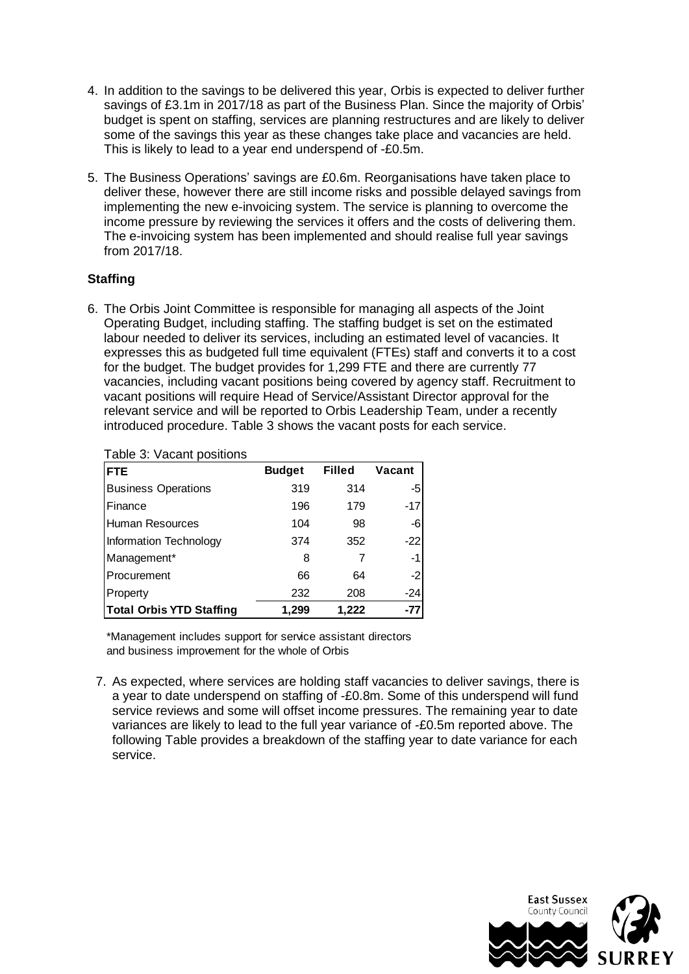- 4. In addition to the savings to be delivered this year, Orbis is expected to deliver further savings of £3.1m in 2017/18 as part of the Business Plan. Since the majority of Orbis' budget is spent on staffing, services are planning restructures and are likely to deliver some of the savings this year as these changes take place and vacancies are held. This is likely to lead to a year end underspend of -£0.5m.
- 5. The Business Operations' savings are £0.6m. Reorganisations have taken place to deliver these, however there are still income risks and possible delayed savings from implementing the new e-invoicing system. The service is planning to overcome the income pressure by reviewing the services it offers and the costs of delivering them. The e-invoicing system has been implemented and should realise full year savings from 2017/18.

## **Staffing**

6. The Orbis Joint Committee is responsible for managing all aspects of the Joint Operating Budget, including staffing. The staffing budget is set on the estimated labour needed to deliver its services, including an estimated level of vacancies. It expresses this as budgeted full time equivalent (FTEs) staff and converts it to a cost for the budget. The budget provides for 1,299 FTE and there are currently 77 vacancies, including vacant positions being covered by agency staff. Recruitment to vacant positions will require Head of Service/Assistant Director approval for the relevant service and will be reported to Orbis Leadership Team, under a recently introduced procedure. Table 3 shows the vacant posts for each service.

| <b>I divide 9. Vacant positions</b> |               |               |        |
|-------------------------------------|---------------|---------------|--------|
| <b>FTE</b>                          | <b>Budget</b> | <b>Filled</b> | Vacant |
| <b>Business Operations</b>          | 319           | 314           | -5     |
| Finance                             | 196           | 179           | $-17$  |
| Human Resources                     | 104           | 98            | -6     |
| Information Technology              | 374           | 352           | $-22$  |
| Management*                         | 8             |               | -1     |
| Procurement                         | 66            | 64            | $-2$   |
| Property                            | 232           | 208           | $-24$  |
| <b>Total Orbis YTD Staffing</b>     | 1,299         | 1.222         | $-77$  |

## Table 3: Vacant positions

\*Management includes support for service assistant directors and business improvement for the whole of Orbis

7. As expected, where services are holding staff vacancies to deliver savings, there is a year to date underspend on staffing of -£0.8m. Some of this underspend will fund service reviews and some will offset income pressures. The remaining year to date variances are likely to lead to the full year variance of -£0.5m reported above. The following Table provides a breakdown of the staffing year to date variance for each service.

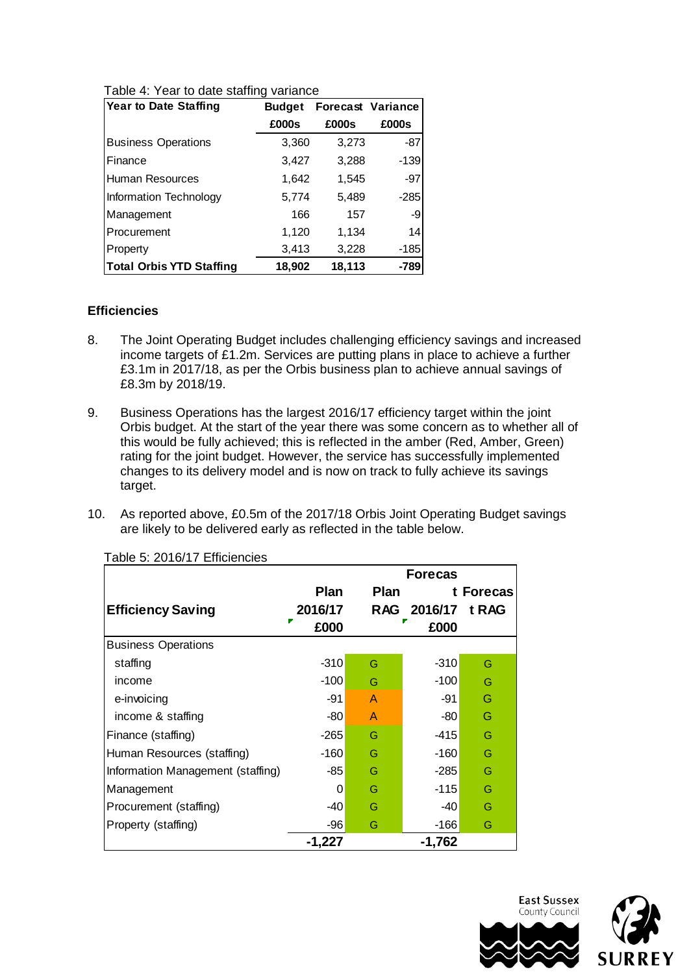| <b>Year to Date Staffing</b>    | <b>Budget</b> | <b>Forecast Variance</b> |        |  |
|---------------------------------|---------------|--------------------------|--------|--|
|                                 | £000s         | £000s                    | £000s  |  |
| <b>Business Operations</b>      | 3,360         | 3,273                    | -87    |  |
| Finance                         | 3,427         | 3,288                    | $-139$ |  |
| Human Resources                 | 1,642         | 1,545                    | -97    |  |
| Information Technology          | 5,774         | 5,489                    | $-285$ |  |
| Management                      | 166           | 157                      | -9     |  |
| Procurement                     | 1,120         | 1,134                    | 14     |  |
| Property                        | 3,413         | 3,228                    | -185   |  |
| <b>Total Orbis YTD Staffing</b> | 18,902        | 18,113                   | -789   |  |

Table 4: Year to date staffing variance

#### **Efficiencies**

- 8. The Joint Operating Budget includes challenging efficiency savings and increased income targets of £1.2m. Services are putting plans in place to achieve a further £3.1m in 2017/18, as per the Orbis business plan to achieve annual savings of £8.3m by 2018/19.
- 9. Business Operations has the largest 2016/17 efficiency target within the joint Orbis budget. At the start of the year there was some concern as to whether all of this would be fully achieved; this is reflected in the amber (Red, Amber, Green) rating for the joint budget. However, the service has successfully implemented changes to its delivery model and is now on track to fully achieve its savings target.
- 10. As reported above, £0.5m of the 2017/18 Orbis Joint Operating Budget savings are likely to be delivered early as reflected in the table below.

|                                   | <b>Forecas</b> |      |                   |           |
|-----------------------------------|----------------|------|-------------------|-----------|
|                                   | <b>Plan</b>    | Plan |                   | t Forecas |
| <b>Efficiency Saving</b>          | 2016/17        |      | RAG 2016/17 t RAG |           |
|                                   | £000           |      | £000              |           |
| <b>Business Operations</b>        |                |      |                   |           |
| staffing                          | $-310$         | G    | $-310$            | G         |
| income                            | $-100$         | G    | $-100$            | G         |
| e-invoicing                       | -91            | A    | -91               | G         |
| income & staffing                 | $-80$          | A    | -80               | G         |
| Finance (staffing)                | $-265$         | G    | -415              | G         |
| Human Resources (staffing)        | $-160$         | G    | $-160$            | G         |
| Information Management (staffing) | -85            | G    | $-285$            | G         |
| Management                        | 0              | G    | $-115$            | G         |
| Procurement (staffing)            | -40            | G    | -40               | G         |
| Property (staffing)               | $-96$          | G    | -166              | G         |
|                                   | $-1,227$       |      | $-1,762$          |           |

Table 5: 2016/17 Efficiencies



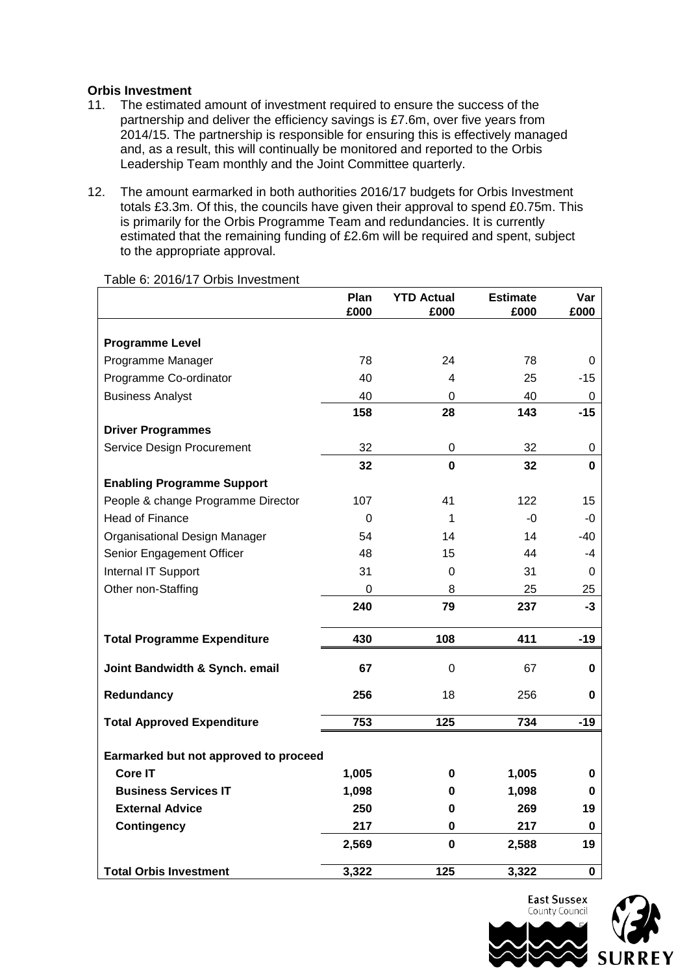#### **Orbis Investment**

- 11. The estimated amount of investment required to ensure the success of the partnership and deliver the efficiency savings is £7.6m, over five years from 2014/15. The partnership is responsible for ensuring this is effectively managed and, as a result, this will continually be monitored and reported to the Orbis Leadership Team monthly and the Joint Committee quarterly.
- 12. The amount earmarked in both authorities 2016/17 budgets for Orbis Investment totals £3.3m. Of this, the councils have given their approval to spend £0.75m. This is primarily for the Orbis Programme Team and redundancies. It is currently estimated that the remaining funding of £2.6m will be required and spent, subject to the appropriate approval.

|                                       | Plan<br>£000 | <b>YTD Actual</b><br>£000 | <b>Estimate</b><br>£000 | Var<br>£000      |
|---------------------------------------|--------------|---------------------------|-------------------------|------------------|
|                                       |              |                           |                         |                  |
| <b>Programme Level</b>                |              |                           |                         |                  |
| Programme Manager                     | 78           | 24                        | 78                      | $\boldsymbol{0}$ |
| Programme Co-ordinator                | 40           | 4                         | 25                      | $-15$            |
| <b>Business Analyst</b>               | 40           | 0                         | 40                      | 0                |
|                                       | 158          | 28                        | 143                     | $-15$            |
| <b>Driver Programmes</b>              |              |                           |                         |                  |
| Service Design Procurement            | 32           | 0                         | 32                      | 0                |
|                                       | 32           | $\mathbf{0}$              | 32                      | $\mathbf{0}$     |
| <b>Enabling Programme Support</b>     |              |                           |                         |                  |
| People & change Programme Director    | 107          | 41                        | 122                     | 15               |
| <b>Head of Finance</b>                | 0            | 1                         | $-0$                    | $-0$             |
| Organisational Design Manager         | 54           | 14                        | 14                      | -40              |
| Senior Engagement Officer             | 48           | 15                        | 44                      | -4               |
| Internal IT Support                   | 31           | 0                         | 31                      | 0                |
| Other non-Staffing                    | $\Omega$     | 8                         | 25                      | 25               |
|                                       | 240          | 79                        | 237                     | $-3$             |
| <b>Total Programme Expenditure</b>    | 430          | 108                       | 411                     | $-19$            |
| Joint Bandwidth & Synch. email        | 67           | 0                         | 67                      | 0                |
| Redundancy                            | 256          | 18                        | 256                     | 0                |
| <b>Total Approved Expenditure</b>     | 753          | 125                       | 734                     | $-19$            |
| Earmarked but not approved to proceed |              |                           |                         |                  |
| Core IT                               | 1,005        | 0                         | 1,005                   | 0                |
| <b>Business Services IT</b>           | 1,098        | 0                         | 1,098                   | 0                |
| <b>External Advice</b>                | 250          | 0                         | 269                     | 19               |
| <b>Contingency</b>                    | 217          | 0                         | 217                     | 0                |
|                                       | 2,569        | 0                         | 2,588                   | 19               |
| <b>Total Orbis Investment</b>         | 3,322        | 125                       | 3,322                   | 0                |

Table 6: 2016/17 Orbis Investment